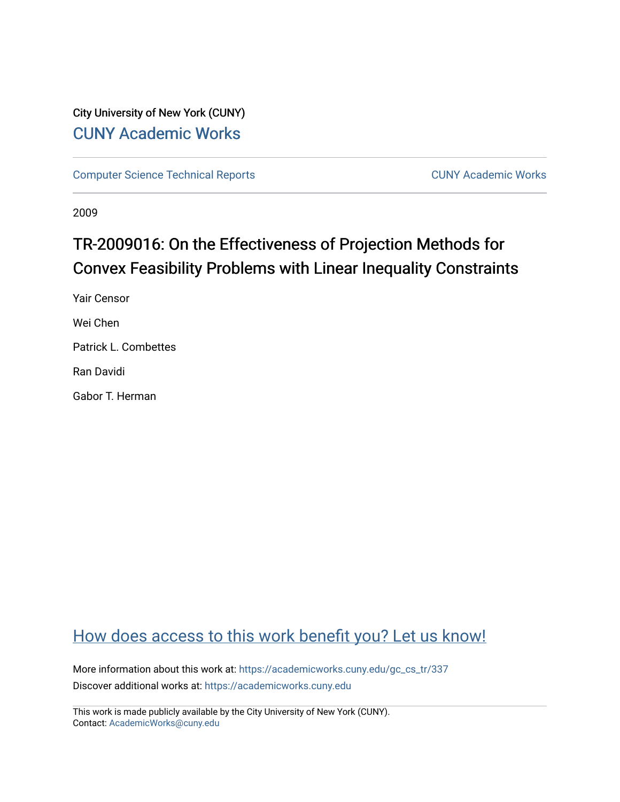### City University of New York (CUNY) [CUNY Academic Works](https://academicworks.cuny.edu/)

[Computer Science Technical Reports](https://academicworks.cuny.edu/gc_cs_tr) **CUNY Academic Works** CUNY Academic Works

2009

# TR-2009016: On the Effectiveness of Projection Methods for Convex Feasibility Problems with Linear Inequality Constraints

Yair Censor Wei Chen Patrick L. Combettes Ran Davidi

Gabor T. Herman

## [How does access to this work benefit you? Let us know!](http://ols.cuny.edu/academicworks/?ref=https://academicworks.cuny.edu/gc_cs_tr/337)

More information about this work at: https://academicworks.cuny.edu/gc\_cs\_tr/337 Discover additional works at: [https://academicworks.cuny.edu](https://academicworks.cuny.edu/?)

This work is made publicly available by the City University of New York (CUNY). Contact: [AcademicWorks@cuny.edu](mailto:AcademicWorks@cuny.edu)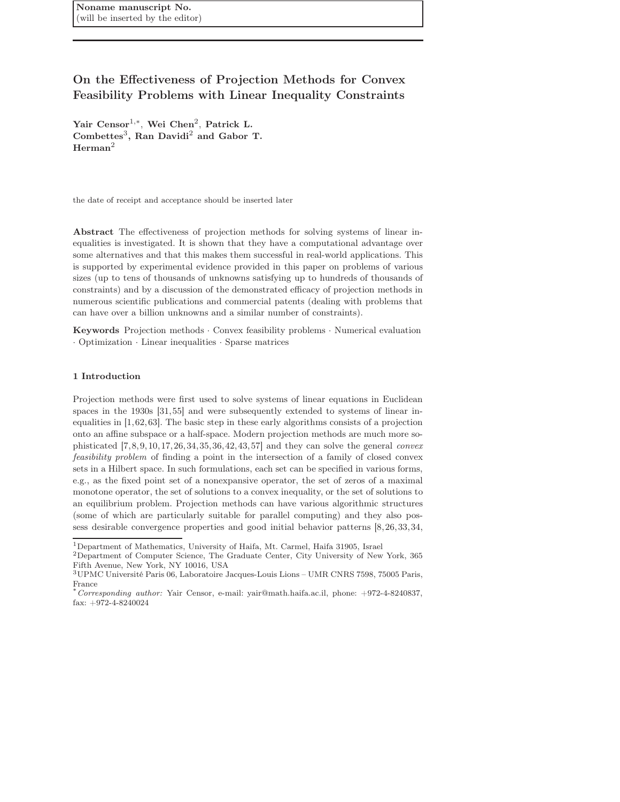Noname manuscript No. (will be inserted by the editor)

### On the Effectiveness of Projection Methods for Convex Feasibility Problems with Linear Inequality Constraints

Yair Censor<sup>1,\*</sup>, Wei Chen<sup>2</sup>, Patrick L. Combettes<sup>3</sup>, Ran Davidi<sup>2</sup> and Gabor T.  $Herman<sup>2</sup>$ 

the date of receipt and acceptance should be inserted later

Abstract The effectiveness of projection methods for solving systems of linear inequalities is investigated. It is shown that they have a computational advantage over some alternatives and that this makes them successful in real-world applications. This is supported by experimental evidence provided in this paper on problems of various sizes (up to tens of thousands of unknowns satisfying up to hundreds of thousands of constraints) and by a discussion of the demonstrated efficacy of projection methods in numerous scientific publications and commercial patents (dealing with problems that can have over a billion unknowns and a similar number of constraints).

Keywords Projection methods · Convex feasibility problems · Numerical evaluation · Optimization · Linear inequalities · Sparse matrices

#### 1 Introduction

Projection methods were first used to solve systems of linear equations in Euclidean spaces in the 1930s [31,55] and were subsequently extended to systems of linear inequalities in [1,62,63]. The basic step in these early algorithms consists of a projection onto an affine subspace or a half-space. Modern projection methods are much more sophisticated  $[7,8,9,10,17,26,34,35,36,42,43,57]$  and they can solve the general *convex* feasibility problem of finding a point in the intersection of a family of closed convex sets in a Hilbert space. In such formulations, each set can be specified in various forms, e.g., as the fixed point set of a nonexpansive operator, the set of zeros of a maximal monotone operator, the set of solutions to a convex inequality, or the set of solutions to an equilibrium problem. Projection methods can have various algorithmic structures (some of which are particularly suitable for parallel computing) and they also possess desirable convergence properties and good initial behavior patterns [8,26,33,34,

<sup>1</sup>Department of Mathematics, University of Haifa, Mt. Carmel, Haifa 31905, Israel

<sup>2</sup>Department of Computer Science, The Graduate Center, City University of New York, 365 Fifth Avenue, New York, NY 10016, USA

<sup>3</sup>UPMC Université Paris 06, Laboratoire Jacques-Louis Lions – UMR CNRS 7598, 75005 Paris, France

<sup>\*</sup>*Corresponding author:* Yair Censor, e-mail: yair@math.haifa.ac.il, phone: +972-4-8240837, fax:  $+972-4-8240024$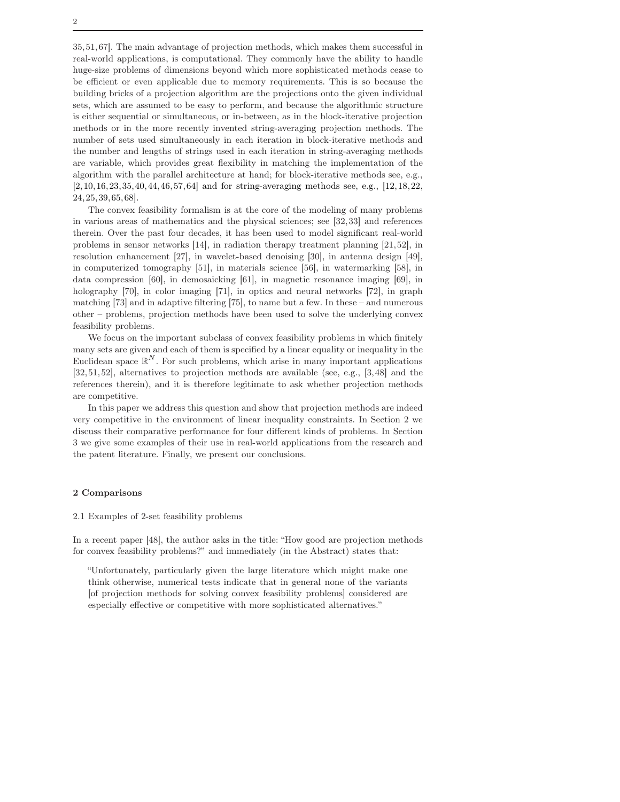35,51,67]. The main advantage of projection methods, which makes them successful in real-world applications, is computational. They commonly have the ability to handle huge-size problems of dimensions beyond which more sophisticated methods cease to be efficient or even applicable due to memory requirements. This is so because the building bricks of a projection algorithm are the projections onto the given individual sets, which are assumed to be easy to perform, and because the algorithmic structure is either sequential or simultaneous, or in-between, as in the block-iterative projection methods or in the more recently invented string-averaging projection methods. The number of sets used simultaneously in each iteration in block-iterative methods and the number and lengths of strings used in each iteration in string-averaging methods are variable, which provides great flexibility in matching the implementation of the algorithm with the parallel architecture at hand; for block-iterative methods see, e.g., [2,10,16,23,35,40,44,46,57,64] and for string-averaging methods see, e.g., [12,18,22,

The convex feasibility formalism is at the core of the modeling of many problems in various areas of mathematics and the physical sciences; see [32,33] and references therein. Over the past four decades, it has been used to model significant real-world problems in sensor networks [14], in radiation therapy treatment planning [21,52], in resolution enhancement [27], in wavelet-based denoising [30], in antenna design [49], in computerized tomography [51], in materials science [56], in watermarking [58], in data compression [60], in demosaicking [61], in magnetic resonance imaging [69], in holography [70], in color imaging [71], in optics and neural networks [72], in graph matching [73] and in adaptive filtering [75], to name but a few. In these – and numerous other – problems, projection methods have been used to solve the underlying convex feasibility problems.

We focus on the important subclass of convex feasibility problems in which finitely many sets are given and each of them is specified by a linear equality or inequality in the Euclidean space  $\mathbb{R}^N$ . For such problems, which arise in many important applications [32,51,52], alternatives to projection methods are available (see, e.g., [3,48] and the references therein), and it is therefore legitimate to ask whether projection methods are competitive.

In this paper we address this question and show that projection methods are indeed very competitive in the environment of linear inequality constraints. In Section 2 we discuss their comparative performance for four different kinds of problems. In Section 3 we give some examples of their use in real-world applications from the research and the patent literature. Finally, we present our conclusions.

#### 2 Comparisons

24,25,39,65,68].

#### 2.1 Examples of 2-set feasibility problems

In a recent paper [48], the author asks in the title: "How good are projection methods for convex feasibility problems?" and immediately (in the Abstract) states that:

"Unfortunately, particularly given the large literature which might make one think otherwise, numerical tests indicate that in general none of the variants [of projection methods for solving convex feasibility problems] considered are especially effective or competitive with more sophisticated alternatives."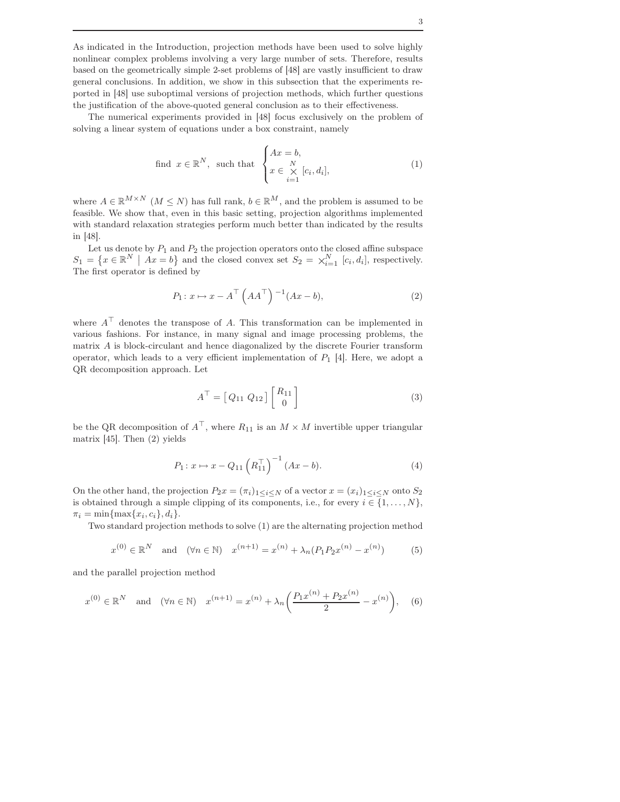As indicated in the Introduction, projection methods have been used to solve highly nonlinear complex problems involving a very large number of sets. Therefore, results based on the geometrically simple 2-set problems of [48] are vastly insufficient to draw general conclusions. In addition, we show in this subsection that the experiments reported in [48] use suboptimal versions of projection methods, which further questions the justification of the above-quoted general conclusion as to their effectiveness.

The numerical experiments provided in [48] focus exclusively on the problem of solving a linear system of equations under a box constraint, namely

find 
$$
x \in \mathbb{R}^N
$$
, such that 
$$
\begin{cases} Ax = b, \\ x \in \underset{i=1}{\times} [c_i, d_i], \end{cases}
$$
 (1)

where  $A \in \mathbb{R}^{M \times N}$  ( $M \leq N$ ) has full rank,  $b \in \mathbb{R}^{M}$ , and the problem is assumed to be feasible. We show that, even in this basic setting, projection algorithms implemented with standard relaxation strategies perform much better than indicated by the results in [48].

Let us denote by  $P_1$  and  $P_2$  the projection operators onto the closed affine subspace  $S_1 = \{x \in \mathbb{R}^N \mid Ax = b\}$  and the closed convex set  $S_2 = \times_{i=1}^N [c_i, d_i]$ , respectively. The first operator is defined by

$$
P_1: x \mapsto x - A^{\top} \left( A A^{\top} \right) ^{-1} (Ax - b), \tag{2}
$$

where  $A^{\top}$  denotes the transpose of A. This transformation can be implemented in various fashions. For instance, in many signal and image processing problems, the matrix A is block-circulant and hence diagonalized by the discrete Fourier transform operator, which leads to a very efficient implementation of  $P_1$  [4]. Here, we adopt a QR decomposition approach. Let

$$
A^{\top} = [Q_{11} Q_{12}] \begin{bmatrix} R_{11} \\ 0 \end{bmatrix} \tag{3}
$$

be the QR decomposition of  $A^{\top}$ , where  $R_{11}$  is an  $M \times M$  invertible upper triangular matrix [45]. Then (2) yields

$$
P_1: x \mapsto x - Q_{11} \left( R_{11}^\top \right)^{-1} (Ax - b). \tag{4}
$$

On the other hand, the projection  $P_2x = (\pi_i)_{1 \leq i \leq N}$  of a vector  $x = (x_i)_{1 \leq i \leq N}$  onto  $S_2$ is obtained through a simple clipping of its components, i.e., for every  $i \in \{1, \ldots, N\}$ ,  $\pi_i = \min\{\max\{x_i, c_i\}, d_i\}.$ 

Two standard projection methods to solve (1) are the alternating projection method

$$
x^{(0)} \in \mathbb{R}^{N}
$$
 and  $(\forall n \in \mathbb{N})$   $x^{(n+1)} = x^{(n)} + \lambda_n (P_1 P_2 x^{(n)} - x^{(n)})$  (5)

and the parallel projection method

$$
x^{(0)} \in \mathbb{R}^N
$$
 and  $(\forall n \in \mathbb{N})$   $x^{(n+1)} = x^{(n)} + \lambda_n \left( \frac{P_1 x^{(n)} + P_2 x^{(n)}}{2} - x^{(n)} \right)$ , (6)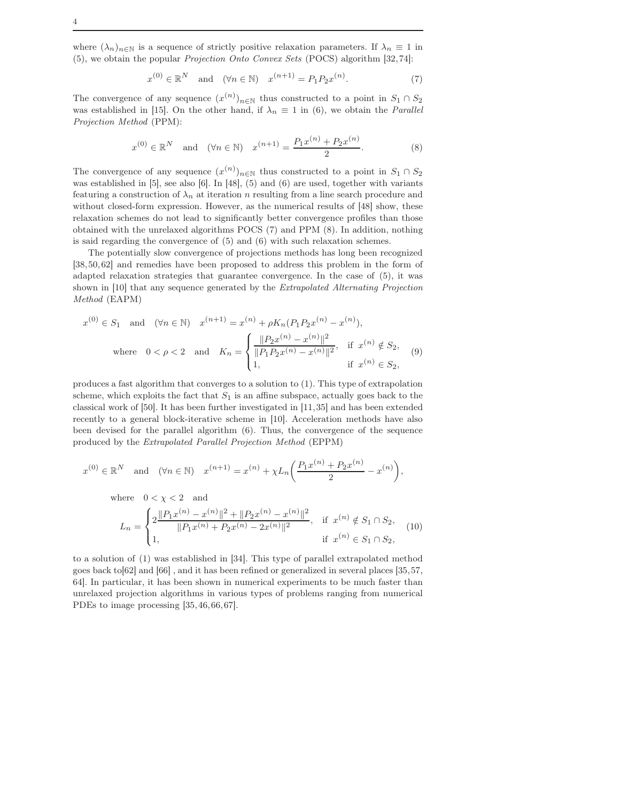where  $(\lambda_n)_{n\in\mathbb{N}}$  is a sequence of strictly positive relaxation parameters. If  $\lambda_n \equiv 1$  in (5), we obtain the popular Projection Onto Convex Sets (POCS) algorithm [32,74]:

$$
x^{(0)} \in \mathbb{R}^N \quad \text{and} \quad (\forall n \in \mathbb{N}) \quad x^{(n+1)} = P_1 P_2 x^{(n)}.\tag{7}
$$

The convergence of any sequence  $(x^{(n)})_{n\in\mathbb{N}}$  thus constructed to a point in  $S_1 \cap S_2$ was established in [15]. On the other hand, if  $\lambda_n \equiv 1$  in (6), we obtain the *Parallel* Projection Method (PPM):

$$
x^{(0)} \in \mathbb{R}^{N}
$$
 and  $(\forall n \in \mathbb{N})$   $x^{(n+1)} = \frac{P_1 x^{(n)} + P_2 x^{(n)}}{2}$ . (8)

The convergence of any sequence  $(x^{(n)})_{n\in\mathbb{N}}$  thus constructed to a point in  $S_1 \cap S_2$ was established in [5], see also [6]. In [48], (5) and (6) are used, together with variants featuring a construction of  $\lambda_n$  at iteration n resulting from a line search procedure and without closed-form expression. However, as the numerical results of [48] show, these relaxation schemes do not lead to significantly better convergence profiles than those obtained with the unrelaxed algorithms POCS (7) and PPM (8). In addition, nothing is said regarding the convergence of (5) and (6) with such relaxation schemes.

The potentially slow convergence of projections methods has long been recognized [38,50,62] and remedies have been proposed to address this problem in the form of adapted relaxation strategies that guarantee convergence. In the case of (5), it was shown in [10] that any sequence generated by the Extrapolated Alternating Projection Method (EAPM)

$$
x^{(0)} \in S_1 \text{ and } (\forall n \in \mathbb{N}) \quad x^{(n+1)} = x^{(n)} + \rho K_n (P_1 P_2 x^{(n)} - x^{(n)}),
$$
  
where  $0 < \rho < 2$  and  $K_n = \begin{cases} \frac{\|P_2 x^{(n)} - x^{(n)}\|^2}{\|P_1 P_2 x^{(n)} - x^{(n)}\|^2}, & \text{if } x^{(n)} \notin S_2, \\ 1, & \text{if } x^{(n)} \in S_2, \end{cases}$  (9)

produces a fast algorithm that converges to a solution to (1). This type of extrapolation scheme, which exploits the fact that  $S_1$  is an affine subspace, actually goes back to the classical work of [50]. It has been further investigated in [11,35] and has been extended recently to a general block-iterative scheme in [10]. Acceleration methods have also been devised for the parallel algorithm (6). Thus, the convergence of the sequence produced by the Extrapolated Parallel Projection Method (EPPM)

$$
x^{(0)} \in \mathbb{R}^N
$$
 and  $(\forall n \in \mathbb{N})$   $x^{(n+1)} = x^{(n)} + \chi L_n \left( \frac{P_1 x^{(n)} + P_2 x^{(n)}}{2} - x^{(n)} \right),$ 

where  $0 < \chi < 2$  and

$$
L_n = \begin{cases} 2\frac{\|P_1 x^{(n)} - x^{(n)}\|^2 + \|P_2 x^{(n)} - x^{(n)}\|^2}{\|P_1 x^{(n)} + P_2 x^{(n)} - 2x^{(n)}\|^2}, & \text{if } x^{(n)} \notin S_1 \cap S_2, \\ 1, & \text{if } x^{(n)} \in S_1 \cap S_2, \end{cases} (10)
$$

to a solution of (1) was established in [34]. This type of parallel extrapolated method goes back to[62] and [66] , and it has been refined or generalized in several places [35,57, 64]. In particular, it has been shown in numerical experiments to be much faster than unrelaxed projection algorithms in various types of problems ranging from numerical PDEs to image processing [35,46,66,67].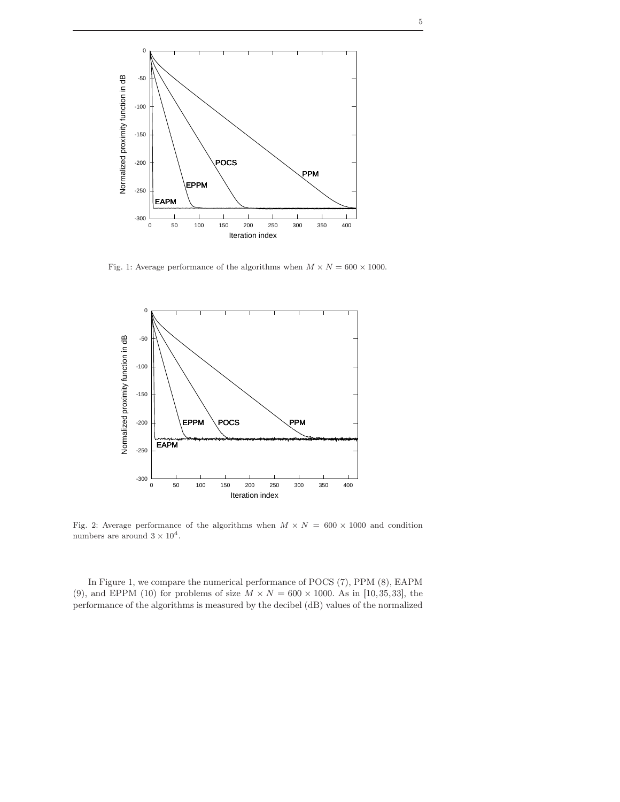

Fig. 1: Average performance of the algorithms when  $M \times N = 600 \times 1000.$ 



Fig. 2: Average performance of the algorithms when  $M \times N = 600 \times 1000$  and condition numbers are around  $3 \times 10^4$ .

In Figure 1, we compare the numerical performance of POCS (7), PPM (8), EAPM (9), and EPPM (10) for problems of size  $M \times N = 600 \times 1000$ . As in [10,35,33], the performance of the algorithms is measured by the decibel (dB) values of the normalized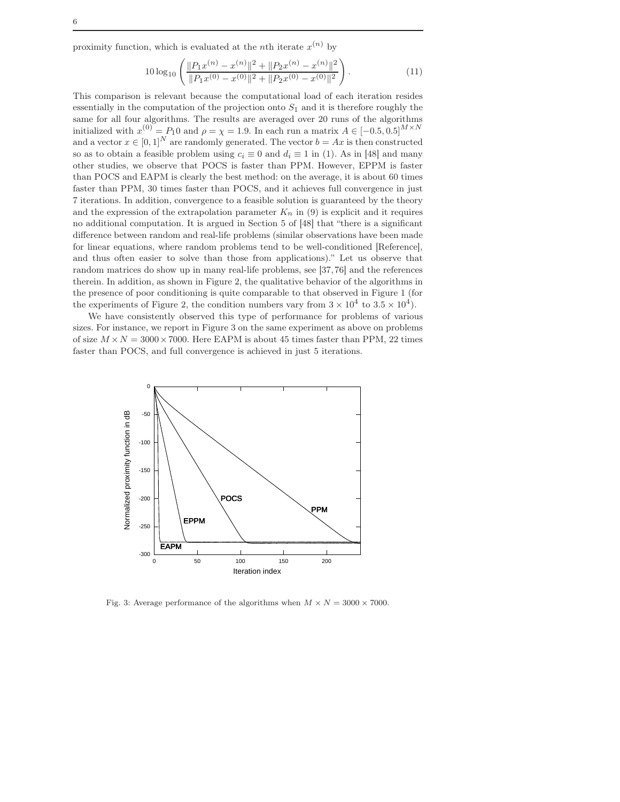proximity function, which is evaluated at the *n*<sup>th</sup> iterate  $x^{(n)}$  by

$$
10\log_{10}\left(\frac{\|P_1x^{(n)} - x^{(n)}\|^2 + \|P_2x^{(n)} - x^{(n)}\|^2}{\|P_1x^{(0)} - x^{(0)}\|^2 + \|P_2x^{(0)} - x^{(0)}\|^2}\right).
$$
\n(11)

This comparison is relevant because the computational load of each iteration resides essentially in the computation of the projection onto  $S_1$  and it is therefore roughly the same for all four algorithms. The results are averaged over 20 runs of the algorithms initialized with  $x^{(0)} = P_1 0$  and  $\rho = \chi = 1.9$ . In each run a matrix  $A \in [-0.5, 0.5]^{M \times N}$ and a vector  $x \in [0,1]^N$  are randomly generated. The vector  $b = Ax$  is then constructed so as to obtain a feasible problem using  $c_i \equiv 0$  and  $d_i \equiv 1$  in (1). As in [48] and many other studies, we observe that POCS is faster than PPM. However, EPPM is faster than POCS and EAPM is clearly the best method: on the average, it is about 60 times faster than PPM, 30 times faster than POCS, and it achieves full convergence in just 7 iterations. In addition, convergence to a feasible solution is guaranteed by the theory and the expression of the extrapolation parameter  $K_n$  in (9) is explicit and it requires no additional computation. It is argued in Section 5 of [48] that "there is a significant difference between random and real-life problems (similar observations have been made for linear equations, where random problems tend to be well-conditioned [Reference], and thus often easier to solve than those from applications)." Let us observe that random matrices do show up in many real-life problems, see [37,76] and the references therein. In addition, as shown in Figure 2, the qualitative behavior of the algorithms in the presence of poor conditioning is quite comparable to that observed in Figure 1 (for the experiments of Figure 2, the condition numbers vary from  $3 \times 10^4$  to  $3.5 \times 10^4$ ).

We have consistently observed this type of performance for problems of various sizes. For instance, we report in Figure 3 on the same experiment as above on problems of size  $M \times N = 3000 \times 7000$ . Here EAPM is about 45 times faster than PPM, 22 times faster than POCS, and full convergence is achieved in just 5 iterations.



Fig. 3: Average performance of the algorithms when  $M \times N = 3000 \times 7000$ .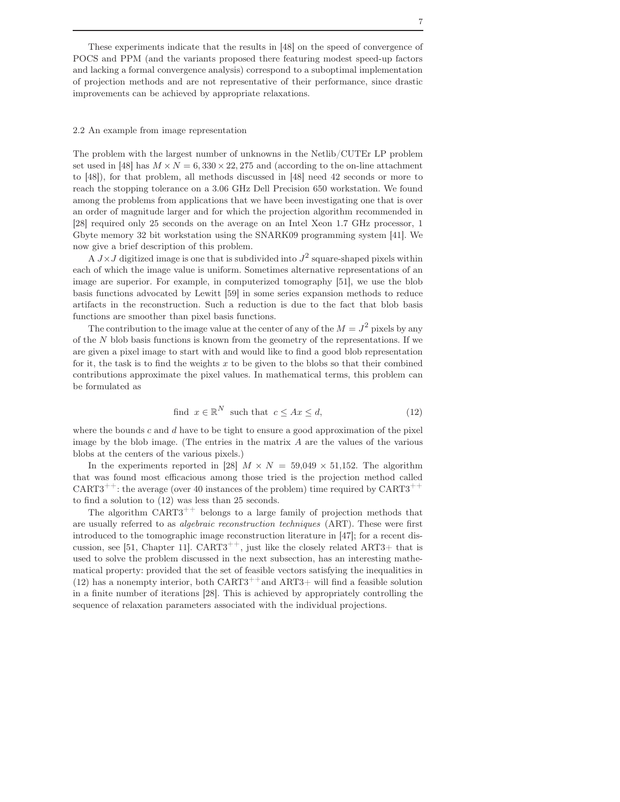These experiments indicate that the results in [48] on the speed of convergence of POCS and PPM (and the variants proposed there featuring modest speed-up factors and lacking a formal convergence analysis) correspond to a suboptimal implementation of projection methods and are not representative of their performance, since drastic improvements can be achieved by appropriate relaxations.

#### 2.2 An example from image representation

The problem with the largest number of unknowns in the Netlib/CUTEr LP problem set used in [48] has  $M \times N = 6,330 \times 22,275$  and (according to the on-line attachment to [48]), for that problem, all methods discussed in [48] need 42 seconds or more to reach the stopping tolerance on a 3.06 GHz Dell Precision 650 workstation. We found among the problems from applications that we have been investigating one that is over an order of magnitude larger and for which the projection algorithm recommended in [28] required only 25 seconds on the average on an Intel Xeon 1.7 GHz processor, 1 Gbyte memory 32 bit workstation using the SNARK09 programming system [41]. We now give a brief description of this problem.

A  $J \times J$  digitized image is one that is subdivided into  $J^2$  square-shaped pixels within each of which the image value is uniform. Sometimes alternative representations of an image are superior. For example, in computerized tomography [51], we use the blob basis functions advocated by Lewitt [59] in some series expansion methods to reduce artifacts in the reconstruction. Such a reduction is due to the fact that blob basis functions are smoother than pixel basis functions.

The contribution to the image value at the center of any of the  $M = J^2$  pixels by any of the  $N$  blob basis functions is known from the geometry of the representations. If we are given a pixel image to start with and would like to find a good blob representation for it, the task is to find the weights  $x$  to be given to the blobs so that their combined contributions approximate the pixel values. In mathematical terms, this problem can be formulated as

find 
$$
x \in \mathbb{R}^N
$$
 such that  $c \leq Ax \leq d$ ,  $(12)$ 

where the bounds c and d have to be tight to ensure a good approximation of the pixel image by the blob image. (The entries in the matrix  $A$  are the values of the various blobs at the centers of the various pixels.)

In the experiments reported in [28]  $M \times N = 59,049 \times 51,152$ . The algorithm that was found most efficacious among those tried is the projection method called  $CART3^{++}$ : the average (over 40 instances of the problem) time required by  $CART3^{++}$ to find a solution to (12) was less than 25 seconds.

The algorithm  $CART3^{++}$  belongs to a large family of projection methods that are usually referred to as algebraic reconstruction techniques (ART). These were first introduced to the tomographic image reconstruction literature in [47]; for a recent discussion, see [51, Chapter 11].  $CART3^{++}$ , just like the closely related ART3+ that is used to solve the problem discussed in the next subsection, has an interesting mathematical property: provided that the set of feasible vectors satisfying the inequalities in (12) has a nonempty interior, both  $CART3^{++}$  and  $ART3+$  will find a feasible solution in a finite number of iterations [28]. This is achieved by appropriately controlling the sequence of relaxation parameters associated with the individual projections.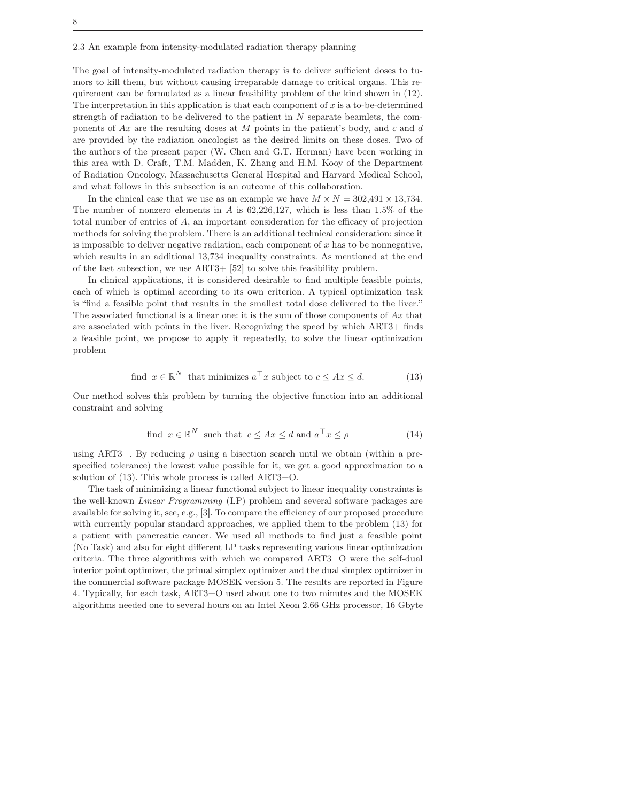The goal of intensity-modulated radiation therapy is to deliver sufficient doses to tumors to kill them, but without causing irreparable damage to critical organs. This requirement can be formulated as a linear feasibility problem of the kind shown in (12). The interpretation in this application is that each component of  $x$  is a to-be-determined strength of radiation to be delivered to the patient in  $N$  separate beamlets, the components of  $Ax$  are the resulting doses at M points in the patient's body, and c and d are provided by the radiation oncologist as the desired limits on these doses. Two of the authors of the present paper (W. Chen and G.T. Herman) have been working in this area with D. Craft, T.M. Madden, K. Zhang and H.M. Kooy of the Department of Radiation Oncology, Massachusetts General Hospital and Harvard Medical School, and what follows in this subsection is an outcome of this collaboration.

In the clinical case that we use as an example we have  $M \times N = 302{,}491 \times 13{,}734$ . The number of nonzero elements in A is  $62,226,127$ , which is less than  $1.5\%$  of the total number of entries of  $A$ , an important consideration for the efficacy of projection methods for solving the problem. There is an additional technical consideration: since it is impossible to deliver negative radiation, each component of  $x$  has to be nonnegative, which results in an additional 13,734 inequality constraints. As mentioned at the end of the last subsection, we use ART3+ [52] to solve this feasibility problem.

In clinical applications, it is considered desirable to find multiple feasible points, each of which is optimal according to its own criterion. A typical optimization task is "find a feasible point that results in the smallest total dose delivered to the liver." The associated functional is a linear one: it is the sum of those components of  $Ax$  that are associated with points in the liver. Recognizing the speed by which ART3+ finds a feasible point, we propose to apply it repeatedly, to solve the linear optimization problem

find 
$$
x \in \mathbb{R}^N
$$
 that minimizes  $a^\top x$  subject to  $c \leq Ax \leq d$ . (13)

Our method solves this problem by turning the objective function into an additional constraint and solving

find 
$$
x \in \mathbb{R}^N
$$
 such that  $c \leq Ax \leq d$  and  $a^\top x \leq \rho$  (14)

using ART3+. By reducing  $\rho$  using a bisection search until we obtain (within a prespecified tolerance) the lowest value possible for it, we get a good approximation to a solution of (13). This whole process is called ART3+O.

The task of minimizing a linear functional subject to linear inequality constraints is the well-known Linear Programming (LP) problem and several software packages are available for solving it, see, e.g., [3]. To compare the efficiency of our proposed procedure with currently popular standard approaches, we applied them to the problem (13) for a patient with pancreatic cancer. We used all methods to find just a feasible point (No Task) and also for eight different LP tasks representing various linear optimization criteria. The three algorithms with which we compared ART3+O were the self-dual interior point optimizer, the primal simplex optimizer and the dual simplex optimizer in the commercial software package MOSEK version 5. The results are reported in Figure 4. Typically, for each task, ART3+O used about one to two minutes and the MOSEK algorithms needed one to several hours on an Intel Xeon 2.66 GHz processor, 16 Gbyte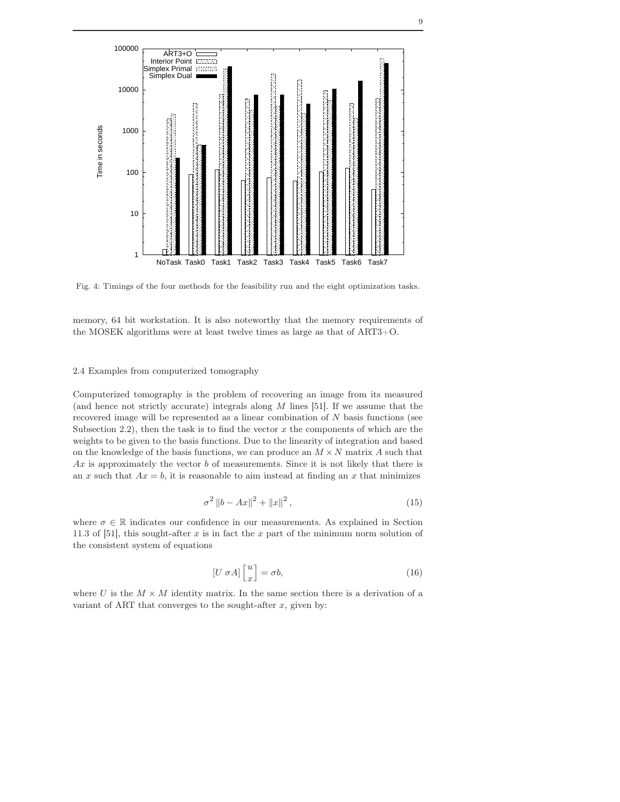

Fig. 4: Timings of the four methods for the feasibility run and the eight optimization tasks.

memory, 64 bit workstation. It is also noteworthy that the memory requirements of the MOSEK algorithms were at least twelve times as large as that of ART3+O.

#### 2.4 Examples from computerized tomography

Computerized tomography is the problem of recovering an image from its measured (and hence not strictly accurate) integrals along  $M$  lines [51]. If we assume that the recovered image will be represented as a linear combination of N basis functions (see Subsection 2.2), then the task is to find the vector  $x$  the components of which are the weights to be given to the basis functions. Due to the linearity of integration and based on the knowledge of the basis functions, we can produce an  $M \times N$  matrix A such that  $Ax$  is approximately the vector b of measurements. Since it is not likely that there is an x such that  $Ax = b$ , it is reasonable to aim instead at finding an x that minimizes

$$
\sigma^2 \|b - Ax\|^2 + \|x\|^2, \tag{15}
$$

where  $\sigma \in \mathbb{R}$  indicates our confidence in our measurements. As explained in Section 11.3 of [51], this sought-after  $x$  is in fact the  $x$  part of the minimum norm solution of the consistent system of equations

$$
[U \sigma A] \begin{bmatrix} u \\ x \end{bmatrix} = \sigma b,\tag{16}
$$

where U is the  $M \times M$  identity matrix. In the same section there is a derivation of a variant of ART that converges to the sought-after  $x$ , given by: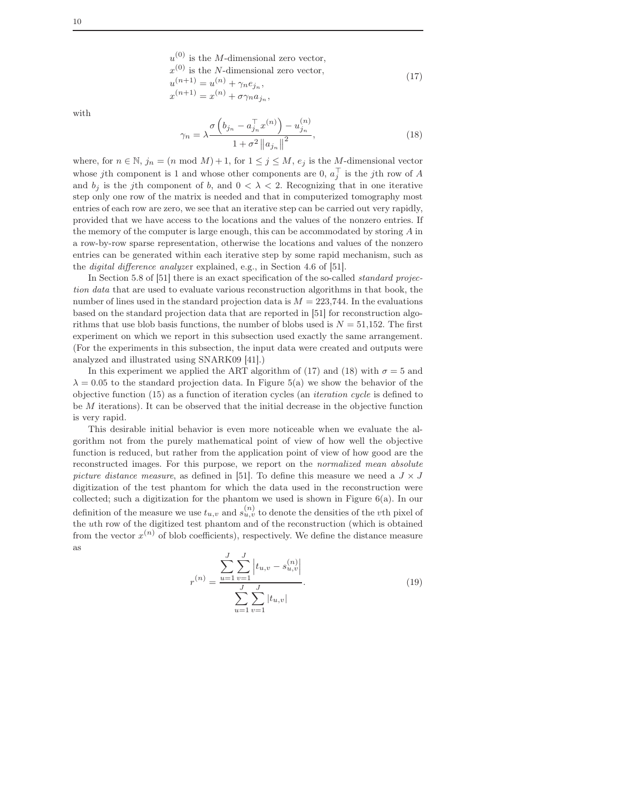$$
u^{(0)}
$$
 is the *M*-dimensional zero vector,  
\n
$$
x^{(0)}
$$
 is the *N*-dimensional zero vector,  
\n
$$
u^{(n+1)} = u^{(n)} + \gamma_n e_{j_n},
$$
  
\n
$$
x^{(n+1)} = x^{(n)} + \sigma \gamma_n a_{j_n},
$$
\n(17)

with

$$
n_{n} = \lambda \frac{\sigma\left(b_{j_{n}} - a_{j_{n}}^{\top} x^{(n)}\right) - u_{j_{n}}^{(n)}}{1 + \sigma^{2} \|a_{j_{n}}\|^{2}},
$$
\n(18)

where, for  $n \in \mathbb{N}$ ,  $j_n = (n \mod M) + 1$ , for  $1 \le j \le M$ ,  $e_j$  is the M-dimensional vector whose jth component is 1 and whose other components are 0,  $a_j^{\top}$  is the jth row of A and  $b_j$  is the j<sup>th</sup> component of b, and  $0 < \lambda < 2$ . Recognizing that in one iterative step only one row of the matrix is needed and that in computerized tomography most entries of each row are zero, we see that an iterative step can be carried out very rapidly, provided that we have access to the locations and the values of the nonzero entries. If the memory of the computer is large enough, this can be accommodated by storing A in a row-by-row sparse representation, otherwise the locations and values of the nonzero entries can be generated within each iterative step by some rapid mechanism, such as the digital difference analyzer explained, e.g., in Section 4.6 of [51].

 $\gamma$ 

In Section 5.8 of [51] there is an exact specification of the so-called *standard projec*tion data that are used to evaluate various reconstruction algorithms in that book, the number of lines used in the standard projection data is  $M = 223,744$ . In the evaluations based on the standard projection data that are reported in [51] for reconstruction algorithms that use blob basis functions, the number of blobs used is  $N = 51,152$ . The first experiment on which we report in this subsection used exactly the same arrangement. (For the experiments in this subsection, the input data were created and outputs were analyzed and illustrated using SNARK09 [41].)

In this experiment we applied the ART algorithm of (17) and (18) with  $\sigma = 5$  and  $\lambda = 0.05$  to the standard projection data. In Figure 5(a) we show the behavior of the objective function (15) as a function of iteration cycles (an iteration cycle is defined to be M iterations). It can be observed that the initial decrease in the objective function is very rapid.

This desirable initial behavior is even more noticeable when we evaluate the algorithm not from the purely mathematical point of view of how well the objective function is reduced, but rather from the application point of view of how good are the reconstructed images. For this purpose, we report on the normalized mean absolute picture distance measure, as defined in [51]. To define this measure we need a  $J \times J$ digitization of the test phantom for which the data used in the reconstruction were collected; such a digitization for the phantom we used is shown in Figure  $6(a)$ . In our definition of the measure we use  $t_{u,v}$  and  $s_{u,v}^{(n)}$  to denote the densities of the vth pixel of the uth row of the digitized test phantom and of the reconstruction (which is obtained from the vector  $x^{(n)}$  of blob coefficients), respectively. We define the distance measure as

$$
r^{(n)} = \frac{\sum_{u=1}^{J} \sum_{v=1}^{J} \left| t_{u,v} - s_{u,v}^{(n)} \right|}{\sum_{u=1}^{J} \sum_{v=1}^{J} |t_{u,v}|}.
$$
 (19)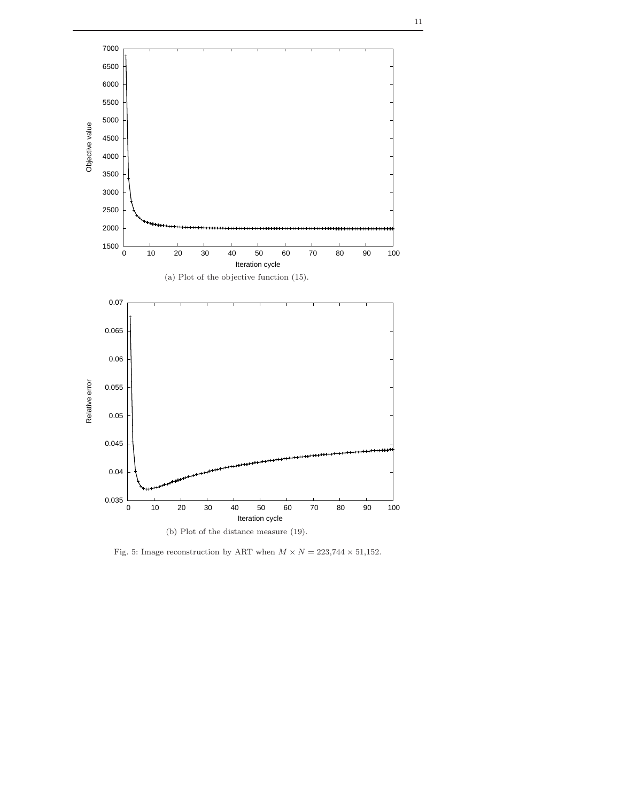

Fig. 5: Image reconstruction by ART when  $M \times N = 223,744 \times 51,152.$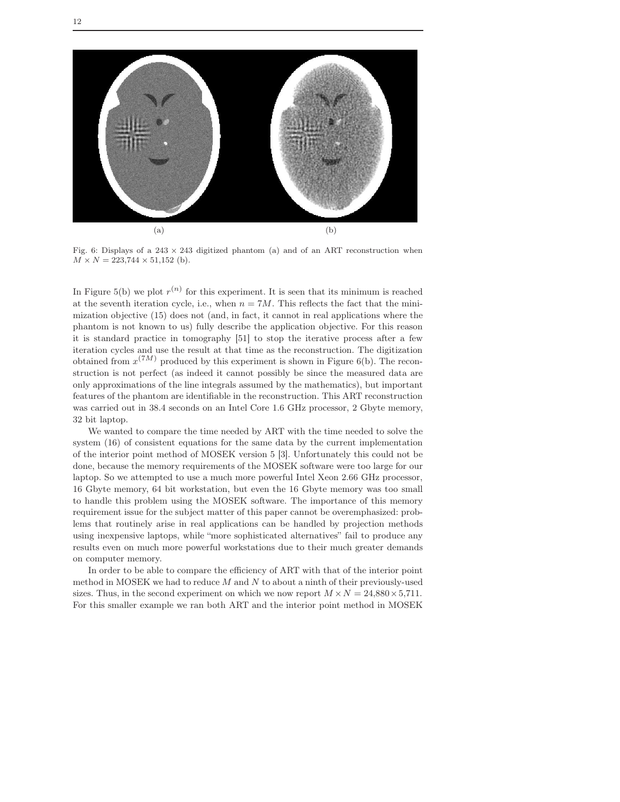

Fig. 6: Displays of a  $243 \times 243$  digitized phantom (a) and of an ART reconstruction when  $M \times N = 223,744 \times 51,152$  (b).

In Figure 5(b) we plot  $r^{(n)}$  for this experiment. It is seen that its minimum is reached at the seventh iteration cycle, i.e., when  $n = 7M$ . This reflects the fact that the minimization objective (15) does not (and, in fact, it cannot in real applications where the phantom is not known to us) fully describe the application objective. For this reason it is standard practice in tomography [51] to stop the iterative process after a few iteration cycles and use the result at that time as the reconstruction. The digitization obtained from  $x^{(7M)}$  produced by this experiment is shown in Figure 6(b). The reconstruction is not perfect (as indeed it cannot possibly be since the measured data are only approximations of the line integrals assumed by the mathematics), but important features of the phantom are identifiable in the reconstruction. This ART reconstruction was carried out in 38.4 seconds on an Intel Core 1.6 GHz processor, 2 Gbyte memory, 32 bit laptop.

We wanted to compare the time needed by ART with the time needed to solve the system (16) of consistent equations for the same data by the current implementation of the interior point method of MOSEK version 5 [3]. Unfortunately this could not be done, because the memory requirements of the MOSEK software were too large for our laptop. So we attempted to use a much more powerful Intel Xeon 2.66 GHz processor, 16 Gbyte memory, 64 bit workstation, but even the 16 Gbyte memory was too small to handle this problem using the MOSEK software. The importance of this memory requirement issue for the subject matter of this paper cannot be overemphasized: problems that routinely arise in real applications can be handled by projection methods using inexpensive laptops, while "more sophisticated alternatives" fail to produce any results even on much more powerful workstations due to their much greater demands on computer memory.

In order to be able to compare the efficiency of ART with that of the interior point method in MOSEK we had to reduce  $M$  and  $N$  to about a ninth of their previously-used sizes. Thus, in the second experiment on which we now report  $M \times N = 24,880 \times 5,711$ . For this smaller example we ran both ART and the interior point method in MOSEK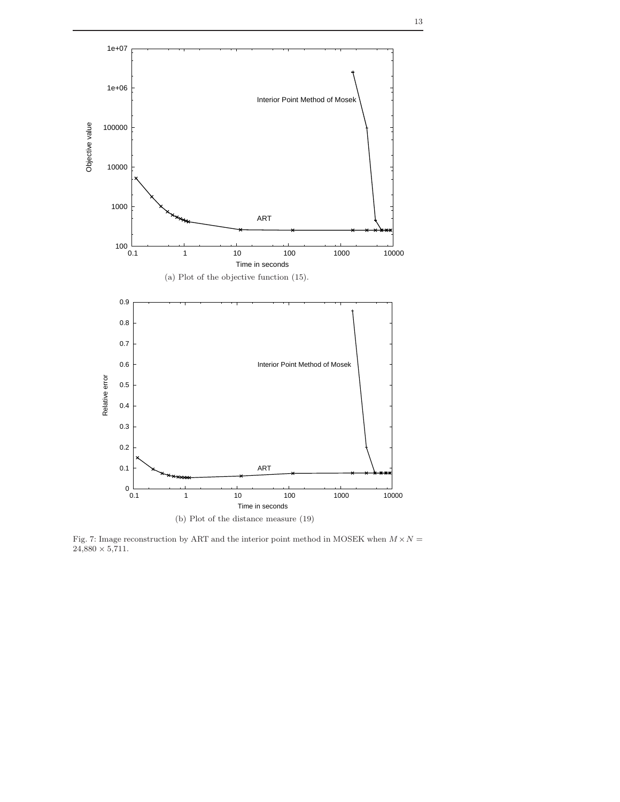

Fig. 7: Image reconstruction by ART and the interior point method in MOSEK when  $M \times N =$  $24,880 \times 5,711.$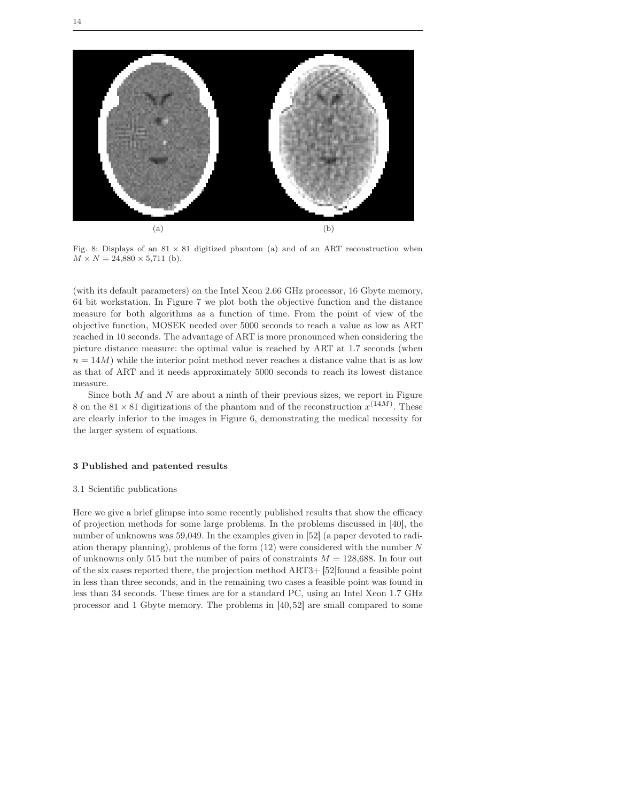

Fig. 8: Displays of an  $81 \times 81$  digitized phantom (a) and of an ART reconstruction when  $M \times N = 24,880 \times 5,711$  (b).

(with its default parameters) on the Intel Xeon 2.66 GHz processor, 16 Gbyte memory, 64 bit workstation. In Figure 7 we plot both the objective function and the distance measure for both algorithms as a function of time. From the point of view of the objective function, MOSEK needed over 5000 seconds to reach a value as low as ART reached in 10 seconds. The advantage of ART is more pronounced when considering the picture distance measure: the optimal value is reached by ART at 1.7 seconds (when  $n = 14M$ ) while the interior point method never reaches a distance value that is as low as that of ART and it needs approximately 5000 seconds to reach its lowest distance measure.

Since both  $M$  and  $N$  are about a ninth of their previous sizes, we report in Figure 8 on the 81  $\times$  81 digitizations of the phantom and of the reconstruction  $x^{(14M)}$ . These are clearly inferior to the images in Figure 6, demonstrating the medical necessity for the larger system of equations.

#### 3 Published and patented results

#### 3.1 Scientific publications

Here we give a brief glimpse into some recently published results that show the efficacy of projection methods for some large problems. In the problems discussed in [40], the number of unknowns was 59,049. In the examples given in [52] (a paper devoted to radiation therapy planning), problems of the form (12) were considered with the number N of unknowns only 515 but the number of pairs of constraints  $M = 128,688$ . In four out of the six cases reported there, the projection method ART3+ [52]found a feasible point in less than three seconds, and in the remaining two cases a feasible point was found in less than 34 seconds. These times are for a standard PC, using an Intel Xeon 1.7 GHz processor and 1 Gbyte memory. The problems in [40,52] are small compared to some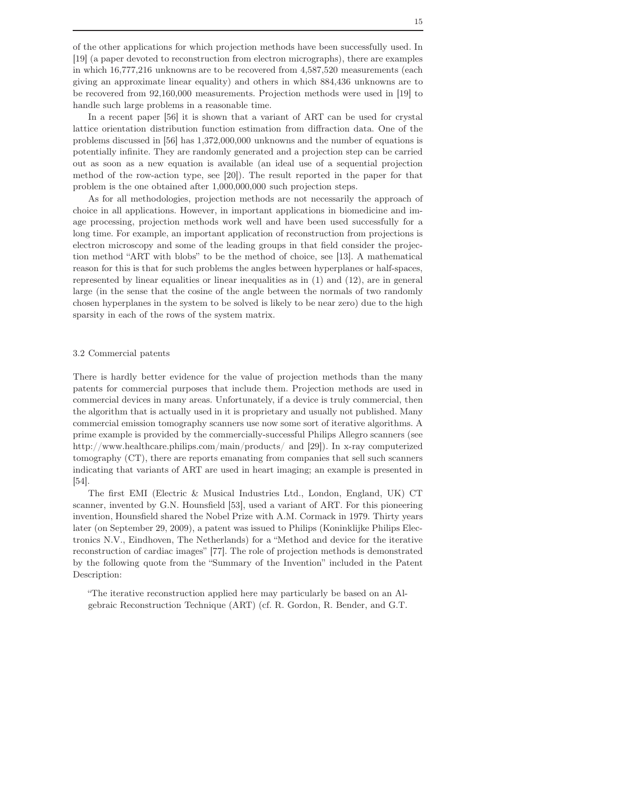of the other applications for which projection methods have been successfully used. In [19] (a paper devoted to reconstruction from electron micrographs), there are examples in which 16,777,216 unknowns are to be recovered from 4,587,520 measurements (each giving an approximate linear equality) and others in which 884,436 unknowns are to be recovered from 92,160,000 measurements. Projection methods were used in [19] to handle such large problems in a reasonable time.

In a recent paper [56] it is shown that a variant of ART can be used for crystal lattice orientation distribution function estimation from diffraction data. One of the problems discussed in [56] has 1,372,000,000 unknowns and the number of equations is potentially infinite. They are randomly generated and a projection step can be carried out as soon as a new equation is available (an ideal use of a sequential projection method of the row-action type, see [20]). The result reported in the paper for that problem is the one obtained after 1,000,000,000 such projection steps.

As for all methodologies, projection methods are not necessarily the approach of choice in all applications. However, in important applications in biomedicine and image processing, projection methods work well and have been used successfully for a long time. For example, an important application of reconstruction from projections is electron microscopy and some of the leading groups in that field consider the projection method "ART with blobs" to be the method of choice, see [13]. A mathematical reason for this is that for such problems the angles between hyperplanes or half-spaces, represented by linear equalities or linear inequalities as in (1) and (12), are in general large (in the sense that the cosine of the angle between the normals of two randomly chosen hyperplanes in the system to be solved is likely to be near zero) due to the high sparsity in each of the rows of the system matrix.

#### 3.2 Commercial patents

There is hardly better evidence for the value of projection methods than the many patents for commercial purposes that include them. Projection methods are used in commercial devices in many areas. Unfortunately, if a device is truly commercial, then the algorithm that is actually used in it is proprietary and usually not published. Many commercial emission tomography scanners use now some sort of iterative algorithms. A prime example is provided by the commercially-successful Philips Allegro scanners (see http://www.healthcare.philips.com/main/products/ and [29]). In x-ray computerized tomography (CT), there are reports emanating from companies that sell such scanners indicating that variants of ART are used in heart imaging; an example is presented in [54].

The first EMI (Electric & Musical Industries Ltd., London, England, UK) CT scanner, invented by G.N. Hounsfield [53], used a variant of ART. For this pioneering invention, Hounsfield shared the Nobel Prize with A.M. Cormack in 1979. Thirty years later (on September 29, 2009), a patent was issued to Philips (Koninklijke Philips Electronics N.V., Eindhoven, The Netherlands) for a "Method and device for the iterative reconstruction of cardiac images" [77]. The role of projection methods is demonstrated by the following quote from the "Summary of the Invention" included in the Patent Description:

"The iterative reconstruction applied here may particularly be based on an Algebraic Reconstruction Technique (ART) (cf. R. Gordon, R. Bender, and G.T.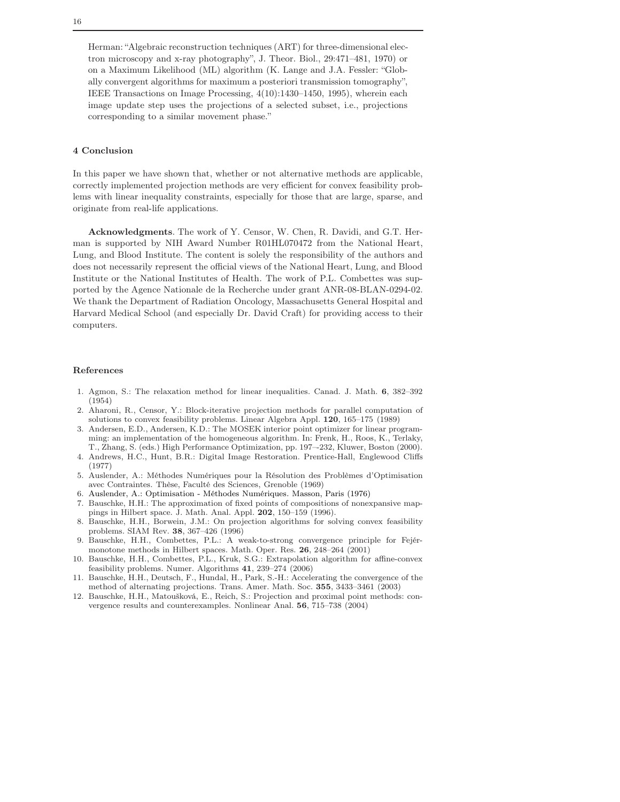Herman: "Algebraic reconstruction techniques (ART) for three-dimensional electron microscopy and x-ray photography", J. Theor. Biol., 29:471–481, 1970) or on a Maximum Likelihood (ML) algorithm (K. Lange and J.A. Fessler: "Globally convergent algorithms for maximum a posteriori transmission tomography", IEEE Transactions on Image Processing, 4(10):1430–1450, 1995), wherein each image update step uses the projections of a selected subset, i.e., projections corresponding to a similar movement phase."

#### 4 Conclusion

In this paper we have shown that, whether or not alternative methods are applicable, correctly implemented projection methods are very efficient for convex feasibility problems with linear inequality constraints, especially for those that are large, sparse, and originate from real-life applications.

Acknowledgments. The work of Y. Censor, W. Chen, R. Davidi, and G.T. Herman is supported by NIH Award Number R01HL070472 from the National Heart, Lung, and Blood Institute. The content is solely the responsibility of the authors and does not necessarily represent the official views of the National Heart, Lung, and Blood Institute or the National Institutes of Health. The work of P.L. Combettes was supported by the Agence Nationale de la Recherche under grant ANR-08-BLAN-0294-02. We thank the Department of Radiation Oncology, Massachusetts General Hospital and Harvard Medical School (and especially Dr. David Craft) for providing access to their computers.

#### References

- 1. Agmon, S.: The relaxation method for linear inequalities. Canad. J. Math. 6, 382–392 (1954)
- 2. Aharoni, R., Censor, Y.: Block-iterative projection methods for parallel computation of solutions to convex feasibility problems. Linear Algebra Appl. 120, 165–175 (1989)
- 3. Andersen, E.D., Andersen, K.D.: The MOSEK interior point optimizer for linear programming: an implementation of the homogeneous algorithm. In: Frenk, H., Roos, K., Terlaky, T., Zhang, S. (eds.) High Performance Optimization, pp. 197–-232, Kluwer, Boston (2000).
- 4. Andrews, H.C., Hunt, B.R.: Digital Image Restoration. Prentice-Hall, Englewood Cliffs (1977)
- 5. Auslender, A.: Méthodes Numériques pour la Résolution des Problèmes d'Optimisation avec Contraintes. Thèse, Faculté des Sciences, Grenoble (1969)
- 6. Auslender, A.: Optimisation Méthodes Numériques*.* Masson, Paris (1976)
- 7. Bauschke, H.H.: The approximation of fixed points of compositions of nonexpansive mappings in Hilbert space. J. Math. Anal. Appl. 202, 150–159 (1996).
- 8. Bauschke, H.H., Borwein, J.M.: On projection algorithms for solving convex feasibility problems. SIAM Rev. 38, 367–426 (1996)
- 9. Bauschke, H.H., Combettes, P.L.: A weak-to-strong convergence principle for Fejérmonotone methods in Hilbert spaces. Math. Oper. Res. 26, 248–264 (2001)
- 10. Bauschke, H.H., Combettes, P.L., Kruk, S.G.: Extrapolation algorithm for affine-convex feasibility problems. Numer. Algorithms 41, 239–274 (2006)
- 11. Bauschke, H.H., Deutsch, F., Hundal, H., Park, S.-H.: Accelerating the convergence of the method of alternating projections. Trans. Amer. Math. Soc. 355, 3433–3461 (2003)
- 12. Bauschke, H.H., Matoušková, E., Reich, S.: Projection and proximal point methods: convergence results and counterexamples. Nonlinear Anal. 56, 715–738 (2004)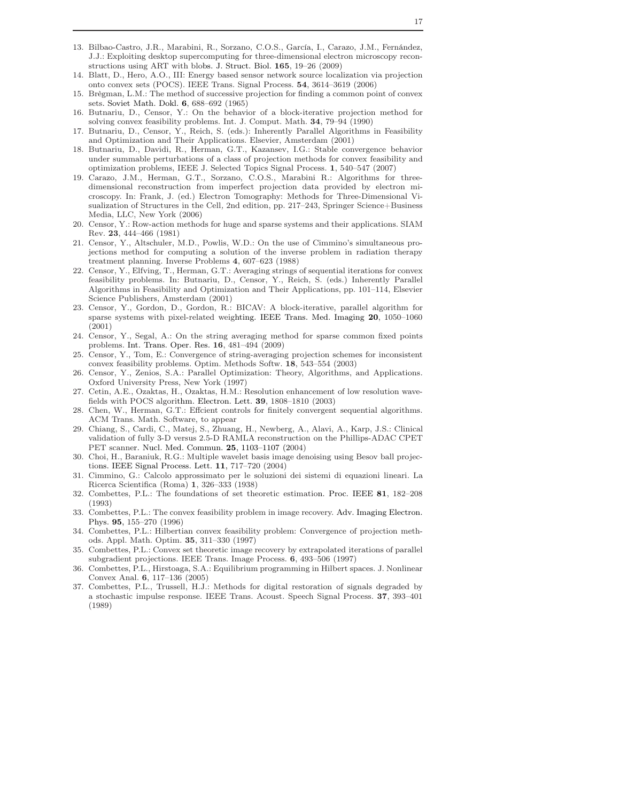- 13. Bilbao-Castro, J.R., Marabini, R., Sorzano, C.O.S., García, I., Carazo, J.M., Fernández, J.J.: Exploiting desktop supercomputing for three-dimensional electron microscopy reconstructions using ART with blobs. J. Struct. Biol. 165, 19–26 (2009)
- 14. Blatt, D., Hero, A.O., III: Energy based sensor network source localization via projection onto convex sets (POCS). IEEE Trans. Signal Process. 54, 3614–3619 (2006)
- 15. Brègman, L.M.: The method of successive projection for finding a common point of convex sets. Soviet Math. Dokl. 6, 688–692 (1965)
- 16. Butnariu, D., Censor, Y.: On the behavior of a block-iterative projection method for solving convex feasibility problems. Int. J. Comput. Math. 34, 79–94 (1990)
- 17. Butnariu, D., Censor, Y., Reich, S. (eds.): Inherently Parallel Algorithms in Feasibility and Optimization and Their Applications. Elsevier, Amsterdam (2001)
- 18. Butnariu, D., Davidi, R., Herman, G.T., Kazansev, I.G.: Stable convergence behavior under summable perturbations of a class of projection methods for convex feasibility and optimization problems, IEEE J. Selected Topics Signal Process. 1, 540–547 (2007)
- 19. Carazo, J.M., Herman, G.T., Sorzano, C.O.S., Marabini R.: Algorithms for threedimensional reconstruction from imperfect projection data provided by electron microscopy. In: Frank, J. (ed.) Electron Tomography: Methods for Three-Dimensional Visualization of Structures in the Cell, 2nd edition, pp. 217–243, Springer Science+Business Media, LLC, New York (2006)
- 20. Censor, Y.: Row-action methods for huge and sparse systems and their applications. SIAM Rev. 23, 444–466 (1981)
- 21. Censor, Y., Altschuler, M.D., Powlis, W.D.: On the use of Cimmino's simultaneous projections method for computing a solution of the inverse problem in radiation therapy treatment planning. Inverse Problems 4, 607–623 (1988)
- 22. Censor, Y., Elfving, T., Herman, G.T.: Averaging strings of sequential iterations for convex feasibility problems. In: Butnariu, D., Censor, Y., Reich, S. (eds.) Inherently Parallel Algorithms in Feasibility and Optimization and Their Applications, pp. 101–114, Elsevier Science Publishers, Amsterdam (2001)
- 23. Censor, Y., Gordon, D., Gordon, R.: BICAV: A block-iterative, parallel algorithm for sparse systems with pixel-related weighting. IEEE Trans. Med. Imaging 20, 1050–1060 (2001)
- 24. Censor, Y., Segal, A.: On the string averaging method for sparse common fixed points problems. Int. Trans. Oper. Res. 16, 481–494 (2009)
- 25. Censor, Y., Tom, E.: Convergence of string-averaging projection schemes for inconsistent convex feasibility problems. Optim. Methods Softw. 18, 543–554 (2003)
- 26. Censor, Y., Zenios, S*.*A.: Parallel Optimization: Theory, Algorithms, and Applications*.* Oxford University Press, New York (1997)
- 27. Cetin, A.E., Ozaktas, H., Ozaktas, H.M.: Resolution enhancement of low resolution wavefields with POCS algorithm. Electron. Lett. 39, 1808–1810 (2003)
- 28. Chen, W., Herman, G.T.: Effcient controls for finitely convergent sequential algorithms. ACM Trans. Math. Software, to appear
- 29. Chiang, S., Cardi, C., Matej, S., Zhuang, H., Newberg, A., Alavi, A., Karp, J.S.: Clinical validation of fully 3-D versus 2.5-D RAMLA reconstruction on the Phillips-ADAC CPET PET scanner. Nucl. Med. Commun. 25, 1103–1107 (2004)
- 30. Choi, H., Baraniuk, R.G.: Multiple wavelet basis image denoising using Besov ball projections. IEEE Signal Process. Lett. 11, 717–720 (2004)
- 31. Cimmino, G.: Calcolo approssimato per le soluzioni dei sistemi di equazioni lineari. La Ricerca Scientifica (Roma) 1, 326–333 (1938)
- 32. Combettes, P.L.: The foundations of set theoretic estimation. Proc. IEEE 81, 182–208 (1993)
- 33. Combettes, P.L.: The convex feasibility problem in image recovery. Adv. Imaging Electron. Phys. 95, 155–270 (1996)
- 34. Combettes, P.L.: Hilbertian convex feasibility problem: Convergence of projection methods. Appl. Math. Optim. 35, 311–330 (1997)
- 35. Combettes, P.L.: Convex set theoretic image recovery by extrapolated iterations of parallel subgradient projections. IEEE Trans. Image Process. 6, 493–506 (1997)
- 36. Combettes, P.L., Hirstoaga, S.A.: Equilibrium programming in Hilbert spaces. J. Nonlinear Convex Anal. 6, 117–136 (2005)
- 37. Combettes, P.L., Trussell, H.J.: Methods for digital restoration of signals degraded by a stochastic impulse response. IEEE Trans. Acoust. Speech Signal Process. 37, 393–401 (1989)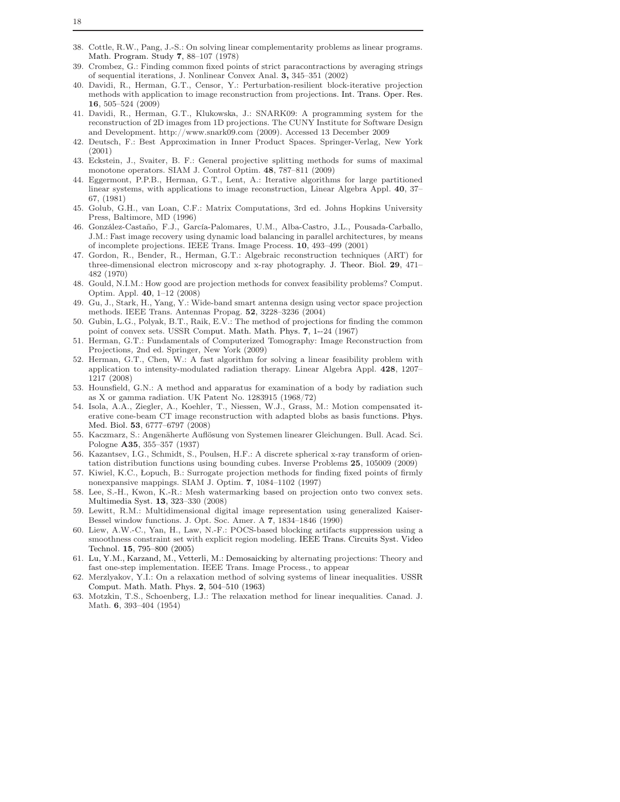- Crombez, G.: Finding common fixed points of strict paracontractions by averaging strings of sequential iterations, J. Nonlinear Convex Anal. 3, 345–351 (2002)
- 40. Davidi, R., Herman, G.T., Censor, Y.: Perturbation-resilient block-iterative projection methods with application to image reconstruction from projections. Int. Trans. Oper. Res. 16, 505–524 (2009)
- 41. Davidi, R., Herman, G.T., Klukowska, J.: SNARK09: A programming system for the reconstruction of 2D images from 1D projections. The CUNY Institute for Software Design and Development. http://www.snark09.com (2009). Accessed 13 December 2009
- 42. Deutsch, F.: Best Approximation in Inner Product Spaces. Springer-Verlag, New York (2001)
- 43. Eckstein, J., Svaiter, B. F.: General projective splitting methods for sums of maximal monotone operators. SIAM J. Control Optim. 48, 787–811 (2009)
- 44. Eggermont, P.P.B., Herman, G.T., Lent, A.: Iterative algorithms for large partitioned linear systems, with applications to image reconstruction, Linear Algebra Appl. 40, 37– 67, (1981)
- 45. Golub, G.H., van Loan, C.F.: Matrix Computations, 3rd ed. Johns Hopkins University Press, Baltimore, MD (1996)
- 46. González-Castaño, F.J., García-Palomares, U.M., Alba-Castro, J.L., Pousada-Carballo, J.M.: Fast image recovery using dynamic load balancing in parallel architectures, by means of incomplete projections. IEEE Trans. Image Process. 10, 493–499 (2001)
- 47. Gordon, R., Bender, R., Herman, G.T.: Algebraic reconstruction techniques (ART) for three-dimensional electron microscopy and x-ray photography. J. Theor. Biol. 29, 471– 482 (1970)
- 48. Gould, N.I.M.: How good are projection methods for convex feasibility problems? Comput. Optim. Appl. 40, 1–12 (2008)
- 49. Gu, J., Stark, H., Yang, Y.: Wide-band smart antenna design using vector space projection methods. IEEE Trans. Antennas Propag. 52, 3228–3236 (2004)
- 50. Gubin, L.G., Polyak, B.T., Raik, E.V.: The method of projections for finding the common point of convex sets. USSR Comput. Math. Math. Phys. 7, 1--24 (1967)
- 51. Herman, G.T.: Fundamentals of Computerized Tomography: Image Reconstruction from Projections*,* 2nd ed. Springer, New York (2009)
- 52. Herman, G.T., Chen, W.: A fast algorithm for solving a linear feasibility problem with application to intensity-modulated radiation therapy. Linear Algebra Appl. 428, 1207– 1217 (2008)
- 53. Hounsfield, G.N.: A method and apparatus for examination of a body by radiation such as X or gamma radiation. UK Patent No. 1283915 (1968/72)
- 54. Isola, A.A., Ziegler, A., Koehler, T., Niessen, W.J., Grass, M.: Motion compensated iterative cone-beam CT image reconstruction with adapted blobs as basis functions. Phys. Med. Biol. 53, 6777–6797 (2008)
- 55. Kaczmarz, S.: Angenäherte Auflösung von Systemen linearer Gleichungen. Bull. Acad. Sci. Pologne A35, 355–357 (1937)
- 56. Kazantsev, I.G., Schmidt, S., Poulsen, H.F.: A discrete spherical x-ray transform of orientation distribution functions using bounding cubes. Inverse Problems 25, 105009 (2009)
- 57. Kiwiel, K.C., Łopuch, B.: Surrogate projection methods for finding fixed points of firmly nonexpansive mappings. SIAM J. Optim. 7, 1084–1102 (1997)
- 58. Lee, S.-H., Kwon, K.-R.: Mesh watermarking based on projection onto two convex sets. Multimedia Syst. 13, 323–330 (2008)
- 59. Lewitt, R.M.: Multidimensional digital image representation using generalized Kaiser-Bessel window functions. J. Opt. Soc. Amer. A 7, 1834–1846 (1990)
- 60. Liew, A.W.-C., Yan, H., Law, N.-F.: POCS-based blocking artifacts suppression using a smoothness constraint set with explicit region modeling. IEEE Trans. Circuits Syst. Video Technol. 15, 795–800 (2005)
- 61. Lu, Y.M., Karzand, M., Vetterli, M.: Demosaicking by alternating projections: Theory and fast one-step implementation. IEEE Trans. Image Process., to appear
- 62. Merzlyakov, Y.I.: On a relaxation method of solving systems of linear inequalities. USSR Comput. Math. Math. Phys. 2, 504–510 (1963)
- 63. Motzkin, T.S., Schoenberg, I.J.: The relaxation method for linear inequalities. Canad. J. Math. 6, 393–404 (1954)